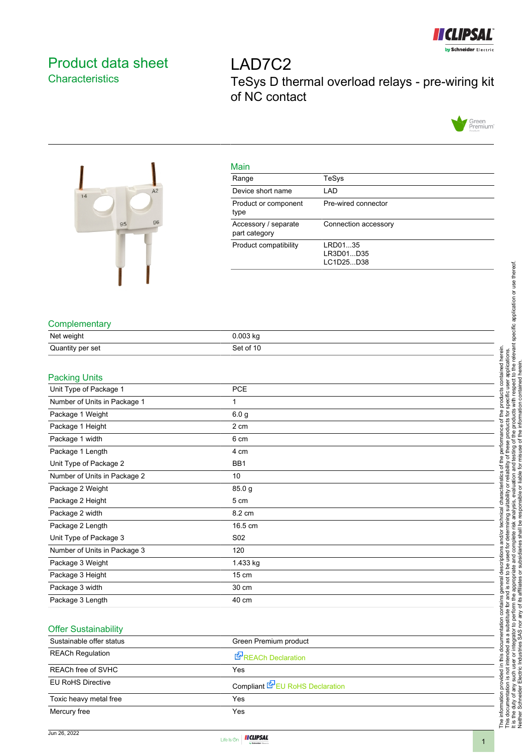

# <span id="page-0-0"></span>Product data sheet **Characteristics**

LAD7C2 TeSys D thermal overload relays - pre-wiring kit of NC contact





|--|

| ividili                               |                                   |
|---------------------------------------|-----------------------------------|
| Range                                 | TeSys                             |
| Device short name                     | LAD                               |
| Product or component<br>type          | Pre-wired connector               |
| Accessory / separate<br>part category | Connection accessory              |
| Product compatibility                 | LRD0135<br>LR3D01D35<br>LC1D25D38 |
|                                       |                                   |

## **Complementary**

| Net weight       | $0.003$ kg |
|------------------|------------|
| Quantity per set | Set of 10  |

# Packing Units

|                                                                   | specific application or use thereof.                                                                                                  |
|-------------------------------------------------------------------|---------------------------------------------------------------------------------------------------------------------------------------|
|                                                                   |                                                                                                                                       |
|                                                                   |                                                                                                                                       |
|                                                                   |                                                                                                                                       |
|                                                                   |                                                                                                                                       |
| Complementary                                                     |                                                                                                                                       |
| Net weight<br>0.003 kg                                            |                                                                                                                                       |
| Set of 10<br>Quantity per set                                     |                                                                                                                                       |
|                                                                   | · applications.<br>t to the relevant s<br>contained herein                                                                            |
| <b>Packing Units</b><br><b>PCE</b><br>Unit Type of Package 1      | ned                                                                                                                                   |
|                                                                   |                                                                                                                                       |
| Number of Units in Package 1<br>1                                 |                                                                                                                                       |
| Package 1 Weight<br>6.0 <sub>g</sub>                              | prod                                                                                                                                  |
| 2 cm<br>Package 1 Height                                          | ₽                                                                                                                                     |
| Package 1 width<br>6 cm                                           | ď<br>৳                                                                                                                                |
| Package 1 Length<br>4 cm                                          | testing<br>misuse<br>the<br>ö                                                                                                         |
| BB1<br>Unit Type of Package 2                                     | na<br>Ta<br>৳                                                                                                                         |
| Number of Units in Package 2<br>10                                | liable                                                                                                                                |
| Package 2 Weight<br>85.0 g                                        | acteristi                                                                                                                             |
| Package 2 Height<br>5 cm                                          | ysis,<br>듕                                                                                                                            |
| Package 2 width<br>8.2 cm                                         | technica<br>등                                                                                                                         |
| Package 2 Length<br>16.5 cm                                       |                                                                                                                                       |
| Unit Type of Package 3<br>S02                                     | shall<br>and/or<br>$\overline{6}$<br>Ö                                                                                                |
| Number of Units in Package 3<br>120                               | com                                                                                                                                   |
| Package 3 Weight<br>1.433 kg                                      | silhsid<br>ē                                                                                                                          |
| Package 3 Height<br>15 cm                                         | descr<br>č                                                                                                                            |
| Package 3 width<br>30 cm                                          | appropi<br>iates<br><u>ຜ</u>                                                                                                          |
| Package 3 Length<br>40 cm                                         | its affili<br>$\stackrel{\text{e}}{=}$<br>ಕ<br>₫                                                                                      |
|                                                                   | contains<br>perform<br>৳                                                                                                              |
| <b>Offer Sustainability</b>                                       | substitute<br>tation<br>SAS <sub>no</sub><br>tor to                                                                                   |
| Sustainable offer status<br>Green Premium product                 |                                                                                                                                       |
| <b>REACh Regulation</b><br>REACh Declaration                      | this docun<br>ndustries<br>tended<br>요.<br>$\overline{5}$<br>৯                                                                        |
| REACh free of SVHC<br>Yes                                         |                                                                                                                                       |
| <b>EU RoHS Directive</b><br>Compliant <b>E</b> U RoHS Declaration | The information provided in th<br>This documentation is not inte<br>It is the duty of any such user<br>Neither Schneider Electric Ind |
| Yes<br>Toxic heavy metal free                                     |                                                                                                                                       |
| Mercury free<br>Yes                                               |                                                                                                                                       |
|                                                                   |                                                                                                                                       |

## Offer Sustainability

| Sustainable offer status | Green Premium product           |
|--------------------------|---------------------------------|
| <b>REACh Regulation</b>  | REACh Declaration               |
| REACh free of SVHC       | Yes                             |
| <b>EU RoHS Directive</b> | Compliant E-EU RoHS Declaration |
| Toxic heavy metal free   | Yes                             |
| Mercury free             | Yes                             |